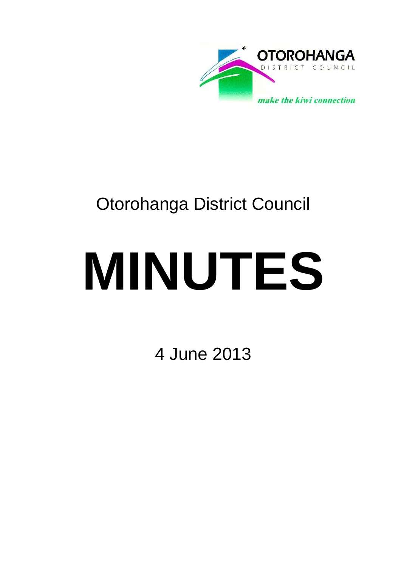

# Otorohanga District Council

# **MINUTES**

4 June 2013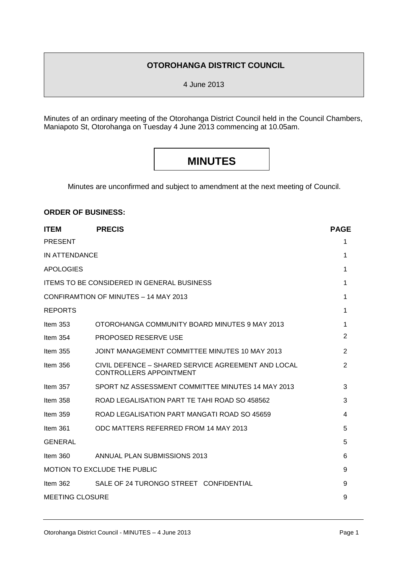# **OTOROHANGA DISTRICT COUNCIL**

4 June 2013

Minutes of an ordinary meeting of the Otorohanga District Council held in the Council Chambers, Maniapoto St, Otorohanga on Tuesday 4 June 2013 commencing at 10.05am.

# **MINUTES**

Minutes are unconfirmed and subject to amendment at the next meeting of Council.

# **ORDER OF BUSINESS:**

| <b>ITEM</b>                                | <b>PRECIS</b>                                                                        | <b>PAGE</b> |  |
|--------------------------------------------|--------------------------------------------------------------------------------------|-------------|--|
| <b>PRESENT</b>                             |                                                                                      | 1           |  |
| <b>IN ATTENDANCE</b>                       |                                                                                      |             |  |
| <b>APOLOGIES</b>                           |                                                                                      | 1           |  |
| ITEMS TO BE CONSIDERED IN GENERAL BUSINESS |                                                                                      |             |  |
|                                            | CONFIRAMTION OF MINUTES - 14 MAY 2013                                                | 1           |  |
| <b>REPORTS</b>                             |                                                                                      | 1           |  |
| Item $353$                                 | OTOROHANGA COMMUNITY BOARD MINUTES 9 MAY 2013                                        | 1           |  |
| Item $354$                                 | <b>PROPOSED RESERVE USE</b>                                                          | 2           |  |
| Item $355$                                 | JOINT MANAGEMENT COMMITTEE MINUTES 10 MAY 2013                                       | 2           |  |
| Item $356$                                 | CIVIL DEFENCE - SHARED SERVICE AGREEMENT AND LOCAL<br><b>CONTROLLERS APPOINTMENT</b> | 2           |  |
| Item $357$                                 | SPORT NZ ASSESSMENT COMMITTEE MINUTES 14 MAY 2013                                    | 3           |  |
| Item $358$                                 | ROAD LEGALISATION PART TE TAHI ROAD SO 458562                                        | 3           |  |
| Item $359$                                 | ROAD LEGALISATION PART MANGATI ROAD SO 45659                                         | 4           |  |
| Item $361$                                 | ODC MATTERS REFERRED FROM 14 MAY 2013                                                | 5           |  |
| <b>GENERAL</b>                             |                                                                                      | 5           |  |
| Item $360$                                 | ANNUAL PLAN SUBMISSIONS 2013                                                         | 6           |  |
| <b>MOTION TO EXCLUDE THE PUBLIC</b>        |                                                                                      |             |  |
| Item $362$                                 | SALE OF 24 TURONGO STREET CONFIDENTIAL                                               | 9           |  |
| <b>MEETING CLOSURE</b>                     |                                                                                      |             |  |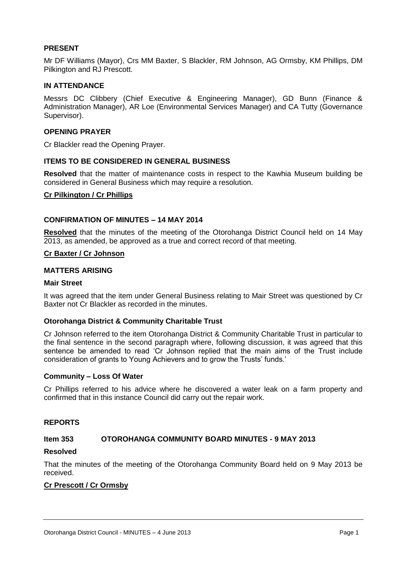## **PRESENT**

Mr DF Williams (Mayor), Crs MM Baxter, S Blackler, RM Johnson, AG Ormsby, KM Phillips, DM Pilkington and RJ Prescott.

#### **IN ATTENDANCE**

Messrs DC Clibbery (Chief Executive & Engineering Manager), GD Bunn (Finance & Administration Manager), AR Loe (Environmental Services Manager) and CA Tutty (Governance Supervisor).

#### **OPENING PRAYER**

Cr Blackler read the Opening Prayer.

#### **ITEMS TO BE CONSIDERED IN GENERAL BUSINESS**

**Resolved** that the matter of maintenance costs in respect to the Kawhia Museum building be considered in General Business which may require a resolution.

#### **Cr Pilkington / Cr Phillips**

#### **CONFIRMATION OF MINUTES – 14 MAY 2014**

**Resolved** that the minutes of the meeting of the Otorohanga District Council held on 14 May 2013, as amended, be approved as a true and correct record of that meeting.

#### **Cr Baxter / Cr Johnson**

#### **MATTERS ARISING**

#### **Mair Street**

It was agreed that the item under General Business relating to Mair Street was questioned by Cr Baxter not Cr Blackler as recorded in the minutes.

#### **Otorohanga District & Community Charitable Trust**

Cr Johnson referred to the item Otorohanga District & Community Charitable Trust in particular to the final sentence in the second paragraph where, following discussion, it was agreed that this sentence be amended to read 'Cr Johnson replied that the main aims of the Trust include consideration of grants to Young Achievers and to grow the Trusts' funds.'

#### **Community – Loss Of Water**

Cr Phillips referred to his advice where he discovered a water leak on a farm property and confirmed that in this instance Council did carry out the repair work.

#### **REPORTS**

# **Item 353 OTOROHANGA COMMUNITY BOARD MINUTES - 9 MAY 2013**

# **Resolved**

That the minutes of the meeting of the Otorohanga Community Board held on 9 May 2013 be received.

# **Cr Prescott / Cr Ormsby**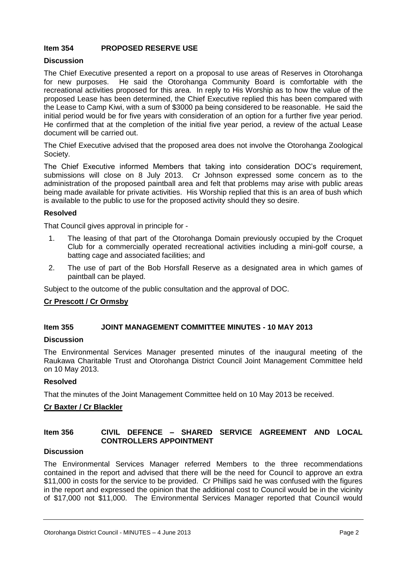# **Item 354 PROPOSED RESERVE USE**

# **Discussion**

The Chief Executive presented a report on a proposal to use areas of Reserves in Otorohanga for new purposes. He said the Otorohanga Community Board is comfortable with the recreational activities proposed for this area. In reply to His Worship as to how the value of the proposed Lease has been determined, the Chief Executive replied this has been compared with the Lease to Camp Kiwi, with a sum of \$3000 pa being considered to be reasonable. He said the initial period would be for five years with consideration of an option for a further five year period. He confirmed that at the completion of the initial five year period, a review of the actual Lease document will be carried out.

The Chief Executive advised that the proposed area does not involve the Otorohanga Zoological Society.

The Chief Executive informed Members that taking into consideration DOC's requirement, submissions will close on 8 July 2013. Cr Johnson expressed some concern as to the administration of the proposed paintball area and felt that problems may arise with public areas being made available for private activities. His Worship replied that this is an area of bush which is available to the public to use for the proposed activity should they so desire.

#### **Resolved**

That Council gives approval in principle for -

- 1. The leasing of that part of the Otorohanga Domain previously occupied by the Croquet Club for a commercially operated recreational activities including a mini-golf course, a batting cage and associated facilities; and
- 2. The use of part of the Bob Horsfall Reserve as a designated area in which games of paintball can be played.

Subject to the outcome of the public consultation and the approval of DOC.

# **Cr Prescott / Cr Ormsby**

# **Item 355 JOINT MANAGEMENT COMMITTEE MINUTES - 10 MAY 2013**

#### **Discussion**

The Environmental Services Manager presented minutes of the inaugural meeting of the Raukawa Charitable Trust and Otorohanga District Council Joint Management Committee held on 10 May 2013.

#### **Resolved**

That the minutes of the Joint Management Committee held on 10 May 2013 be received.

# **Cr Baxter / Cr Blackler**

# **Item 356 CIVIL DEFENCE – SHARED SERVICE AGREEMENT AND LOCAL CONTROLLERS APPOINTMENT**

#### **Discussion**

The Environmental Services Manager referred Members to the three recommendations contained in the report and advised that there will be the need for Council to approve an extra \$11,000 in costs for the service to be provided. Cr Phillips said he was confused with the figures in the report and expressed the opinion that the additional cost to Council would be in the vicinity of \$17,000 not \$11,000. The Environmental Services Manager reported that Council would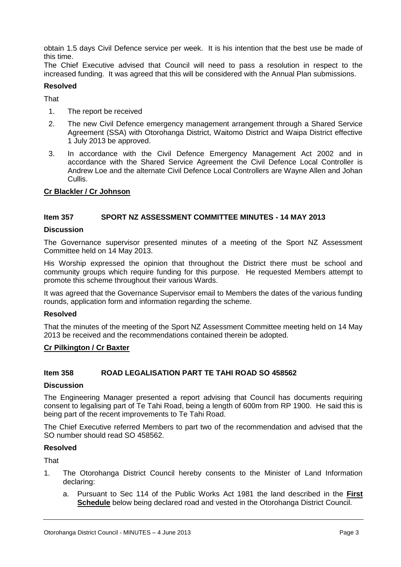obtain 1.5 days Civil Defence service per week. It is his intention that the best use be made of this time.

The Chief Executive advised that Council will need to pass a resolution in respect to the increased funding. It was agreed that this will be considered with the Annual Plan submissions.

#### **Resolved**

**That** 

- 1. The report be received
- 2. The new Civil Defence emergency management arrangement through a Shared Service Agreement (SSA) with Otorohanga District, Waitomo District and Waipa District effective 1 July 2013 be approved.
- 3. In accordance with the Civil Defence Emergency Management Act 2002 and in accordance with the Shared Service Agreement the Civil Defence Local Controller is Andrew Loe and the alternate Civil Defence Local Controllers are Wayne Allen and Johan Cullis.

#### **Cr Blackler / Cr Johnson**

# **Item 357 SPORT NZ ASSESSMENT COMMITTEE MINUTES - 14 MAY 2013**

#### **Discussion**

The Governance supervisor presented minutes of a meeting of the Sport NZ Assessment Committee held on 14 May 2013.

His Worship expressed the opinion that throughout the District there must be school and community groups which require funding for this purpose. He requested Members attempt to promote this scheme throughout their various Wards.

It was agreed that the Governance Supervisor email to Members the dates of the various funding rounds, application form and information regarding the scheme.

#### **Resolved**

That the minutes of the meeting of the Sport NZ Assessment Committee meeting held on 14 May 2013 be received and the recommendations contained therein be adopted.

#### **Cr Pilkington / Cr Baxter**

#### **Item 358 ROAD LEGALISATION PART TE TAHI ROAD SO 458562**

#### **Discussion**

The Engineering Manager presented a report advising that Council has documents requiring consent to legalising part of Te Tahi Road, being a length of 600m from RP 1900. He said this is being part of the recent improvements to Te Tahi Road.

The Chief Executive referred Members to part two of the recommendation and advised that the SO number should read SO 458562.

#### **Resolved**

That

- 1. The Otorohanga District Council hereby consents to the Minister of Land Information declaring:
	- a. Pursuant to Sec 114 of the Public Works Act 1981 the land described in the **First Schedule** below being declared road and vested in the Otorohanga District Council.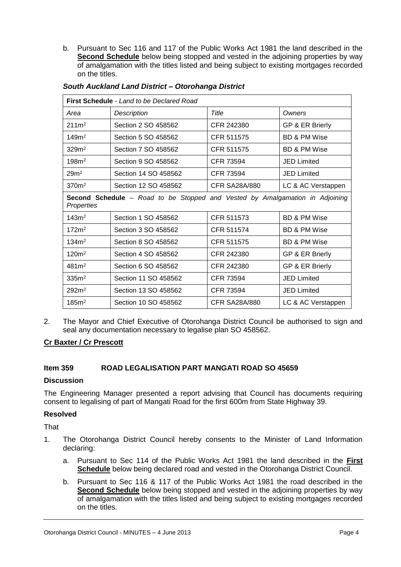b. Pursuant to Sec 116 and 117 of the Public Works Act 1981 the land described in the **Second Schedule** below being stopped and vested in the adjoining properties by way of amalgamation with the titles listed and being subject to existing mortgages recorded on the titles.

| <b>First Schedule</b> - Land to be Declared Road                                           |                      |                      |                         |  |  |
|--------------------------------------------------------------------------------------------|----------------------|----------------------|-------------------------|--|--|
| Area                                                                                       | Description          | Title                | Owners                  |  |  |
| $211m^2$                                                                                   | Section 2 SO 458562  | CFR 242380           | GP & ER Brierly         |  |  |
| 149m <sup>2</sup>                                                                          | Section 5 SO 458562  | CFR 511575           | <b>BD &amp; PM Wise</b> |  |  |
| 329m <sup>2</sup>                                                                          | Section 7 SO 458562  | CFR 511575           | <b>BD &amp; PM Wise</b> |  |  |
| 198m <sup>2</sup>                                                                          | Section 9 SO 458562  | <b>CFR 73594</b>     | <b>JED Limited</b>      |  |  |
| 29 <sup>m²</sup>                                                                           | Section 14 SO 458562 | CFR 73594            | <b>JED Limited</b>      |  |  |
| 370 <sup>m²</sup>                                                                          | Section 12 SO 458562 | <b>CFR SA28A/880</b> | LC & AC Verstappen      |  |  |
| Second Schedule - Road to be Stopped and Vested by Amalgamation in Adjoining<br>Properties |                      |                      |                         |  |  |
| 143m <sup>2</sup>                                                                          | Section 1 SO 458562  | CFR 511573           | <b>BD &amp; PM Wise</b> |  |  |
| 172m <sup>2</sup>                                                                          | Section 3 SO 458562  | CFR 511574           | <b>BD &amp; PM Wise</b> |  |  |
| 134m <sup>2</sup>                                                                          | Section 8 SO 458562  | CFR 511575           | BD & PM Wise            |  |  |
| $120m^2$                                                                                   | Section 4 SO 458562  | CFR 242380           | GP & ER Brierly         |  |  |
| 481 <sup>m²</sup>                                                                          | Section 6 SO 458562  | CFR 242380           | GP & ER Brierly         |  |  |
| 335m <sup>2</sup>                                                                          | Section 11 SO 458562 | CFR 73594            | JED Limited             |  |  |
| 292m <sup>2</sup>                                                                          | Section 13 SO 458562 | CFR 73594            | <b>JED Limited</b>      |  |  |
| 185m <sup>2</sup>                                                                          | Section 10 SO 458562 | <b>CFR SA28A/880</b> | LC & AC Verstappen      |  |  |

#### *South Auckland Land District – Otorohanga District*

2. The Mayor and Chief Executive of Otorohanga District Council be authorised to sign and seal any documentation necessary to legalise plan SO 458562.

# **Cr Baxter / Cr Prescott**

# **Item 359 ROAD LEGALISATION PART MANGATI ROAD SO 45659**

#### **Discussion**

The Engineering Manager presented a report advising that Council has documents requiring consent to legalising of part of Mangati Road for the first 600m from State Highway 39.

#### **Resolved**

That

- 1. The Otorohanga District Council hereby consents to the Minister of Land Information declaring:
	- a. Pursuant to Sec 114 of the Public Works Act 1981 the land described in the **First Schedule** below being declared road and vested in the Otorohanga District Council.
	- b. Pursuant to Sec 116 & 117 of the Public Works Act 1981 the road described in the **Second Schedule** below being stopped and vested in the adjoining properties by way of amalgamation with the titles listed and being subject to existing mortgages recorded on the titles.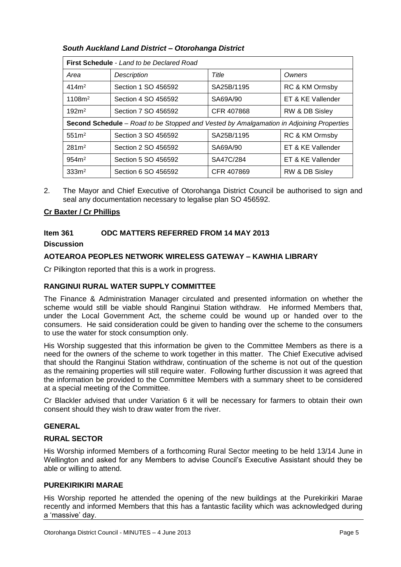# *South Auckland Land District – Otorohanga District*

| <b>First Schedule - Land to be Declared Road</b>                                        |                     |            |                   |  |  |
|-----------------------------------------------------------------------------------------|---------------------|------------|-------------------|--|--|
| Area                                                                                    | <b>Description</b>  | Title      | Owners            |  |  |
| 414m <sup>2</sup>                                                                       | Section 1 SO 456592 | SA25B/1195 | RC & KM Ormsby    |  |  |
| 1108m <sup>2</sup>                                                                      | Section 4 SO 456592 | SA69A/90   | ET & KE Vallender |  |  |
| 192m <sup>2</sup>                                                                       | Section 7 SO 456592 | CFR 407868 | RW & DB Sisley    |  |  |
| Second Schedule - Road to be Stopped and Vested by Amalgamation in Adjoining Properties |                     |            |                   |  |  |
| 551m <sup>2</sup>                                                                       | Section 3 SO 456592 | SA25B/1195 | RC & KM Ormsby    |  |  |
| $281 \,\mathrm{m}^2$                                                                    | Section 2 SO 456592 | SA69A/90   | ET & KE Vallender |  |  |
| 954m <sup>2</sup>                                                                       | Section 5 SO 456592 | SA47C/284  | ET & KE Vallender |  |  |
| 333m <sup>2</sup>                                                                       | Section 6 SO 456592 | CFR 407869 | RW & DB Sisley    |  |  |

2. The Mayor and Chief Executive of Otorohanga District Council be authorised to sign and seal any documentation necessary to legalise plan SO 456592.

# **Cr Baxter / Cr Phillips**

# **Item 361 ODC MATTERS REFERRED FROM 14 MAY 2013**

# **Discussion**

# **AOTEAROA PEOPLES NETWORK WIRELESS GATEWAY – KAWHIA LIBRARY**

Cr Pilkington reported that this is a work in progress.

# **RANGINUI RURAL WATER SUPPLY COMMITTEE**

The Finance & Administration Manager circulated and presented information on whether the scheme would still be viable should Ranginui Station withdraw. He informed Members that, under the Local Government Act, the scheme could be wound up or handed over to the consumers. He said consideration could be given to handing over the scheme to the consumers to use the water for stock consumption only.

His Worship suggested that this information be given to the Committee Members as there is a need for the owners of the scheme to work together in this matter. The Chief Executive advised that should the Ranginui Station withdraw, continuation of the scheme is not out of the question as the remaining properties will still require water. Following further discussion it was agreed that the information be provided to the Committee Members with a summary sheet to be considered at a special meeting of the Committee.

Cr Blackler advised that under Variation 6 it will be necessary for farmers to obtain their own consent should they wish to draw water from the river.

# **GENERAL**

# **RURAL SECTOR**

His Worship informed Members of a forthcoming Rural Sector meeting to be held 13/14 June in Wellington and asked for any Members to advise Council's Executive Assistant should they be able or willing to attend.

# **PUREKIRIKIRI MARAE**

His Worship reported he attended the opening of the new buildings at the Purekirikiri Marae recently and informed Members that this has a fantastic facility which was acknowledged during a 'massive' day.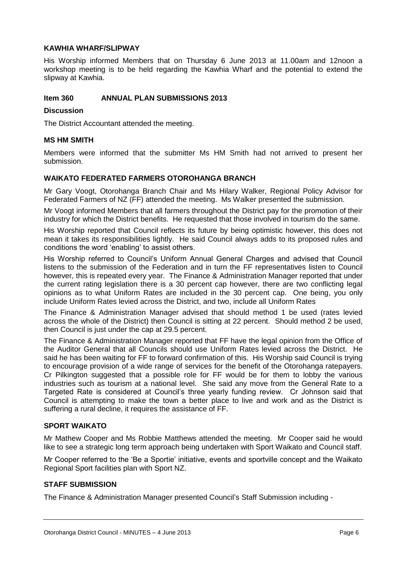# **KAWHIA WHARF/SLIPWAY**

His Worship informed Members that on Thursday 6 June 2013 at 11.00am and 12noon a workshop meeting is to be held regarding the Kawhia Wharf and the potential to extend the slipway at Kawhia.

# **Item 360 ANNUAL PLAN SUBMISSIONS 2013**

## **Discussion**

The District Accountant attended the meeting.

# **MS HM SMITH**

Members were informed that the submitter Ms HM Smith had not arrived to present her submission.

# **WAIKATO FEDERATED FARMERS OTOROHANGA BRANCH**

Mr Gary Voogt, Otorohanga Branch Chair and Ms Hilary Walker, Regional Policy Advisor for Federated Farmers of NZ (FF) attended the meeting. Ms Walker presented the submission.

Mr Voogt informed Members that all farmers throughout the District pay for the promotion of their industry for which the District benefits. He requested that those involved in tourism do the same.

His Worship reported that Council reflects its future by being optimistic however, this does not mean it takes its responsibilities lightly. He said Council always adds to its proposed rules and conditions the word 'enabling' to assist others.

His Worship referred to Council's Uniform Annual General Charges and advised that Council listens to the submission of the Federation and in turn the FF representatives listen to Council however, this is repeated every year. The Finance & Administration Manager reported that under the current rating legislation there is a 30 percent cap however, there are two conflicting legal opinions as to what Uniform Rates are included in the 30 percent cap. One being, you only include Uniform Rates levied across the District, and two, include all Uniform Rates

The Finance & Administration Manager advised that should method 1 be used (rates levied across the whole of the District) then Council is sitting at 22 percent. Should method 2 be used, then Council is just under the cap at 29.5 percent.

The Finance & Administration Manager reported that FF have the legal opinion from the Office of the Auditor General that all Councils should use Uniform Rates levied across the District. He said he has been waiting for FF to forward confirmation of this. His Worship said Council is trying to encourage provision of a wide range of services for the benefit of the Otorohanga ratepayers. Cr Pilkington suggested that a possible role for FF would be for them to lobby the various industries such as tourism at a national level. She said any move from the General Rate to a Targeted Rate is considered at Council's three yearly funding review. Cr Johnson said that Council is attempting to make the town a better place to live and work and as the District is suffering a rural decline, it requires the assistance of FF.

# **SPORT WAIKATO**

Mr Mathew Cooper and Ms Robbie Matthews attended the meeting. Mr Cooper said he would like to see a strategic long term approach being undertaken with Sport Waikato and Council staff.

Mr Cooper referred to the 'Be a Sportie' initiative, events and sportville concept and the Waikato Regional Sport facilities plan with Sport NZ.

# **STAFF SUBMISSION**

The Finance & Administration Manager presented Council's Staff Submission including -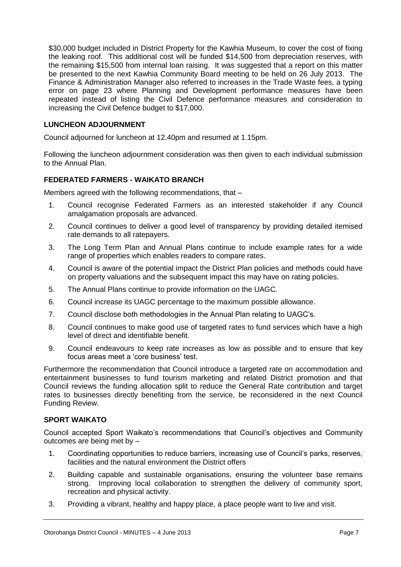\$30,000 budget included in District Property for the Kawhia Museum, to cover the cost of fixing the leaking roof. This additional cost will be funded \$14,500 from depreciation reserves, with the remaining \$15,500 from internal loan raising. It was suggested that a report on this matter be presented to the next Kawhia Community Board meeting to be held on 26 July 2013. The Finance & Administration Manager also referred to increases in the Trade Waste fees, a typing error on page 23 where Planning and Development performance measures have been repeated instead of listing the Civil Defence performance measures and consideration to increasing the Civil Defence budget to \$17,000.

# **LUNCHEON ADJOURNMENT**

Council adjourned for luncheon at 12.40pm and resumed at 1.15pm.

Following the luncheon adjournment consideration was then given to each individual submission to the Annual Plan.

# **FEDERATED FARMERS - WAIKATO BRANCH**

Members agreed with the following recommendations, that –

- 1. Council recognise Federated Farmers as an interested stakeholder if any Council amalgamation proposals are advanced.
- 2. Council continues to deliver a good level of transparency by providing detailed itemised rate demands to all ratepayers.
- 3. The Long Term Plan and Annual Plans continue to include example rates for a wide range of properties which enables readers to compare rates.
- 4. Council is aware of the potential impact the District Plan policies and methods could have on property valuations and the subsequent impact this may have on rating policies.
- 5. The Annual Plans continue to provide information on the UAGC.
- 6. Council increase its UAGC percentage to the maximum possible allowance.
- 7. Council disclose both methodologies in the Annual Plan relating to UAGC's.
- 8. Council continues to make good use of targeted rates to fund services which have a high level of direct and identifiable benefit.
- 9. Council endeavours to keep rate increases as low as possible and to ensure that key focus areas meet a 'core business' test.

Furthermore the recommendation that Council introduce a targeted rate on accommodation and entertainment businesses to fund tourism marketing and related District promotion and that Council reviews the funding allocation split to reduce the General Rate contribution and target rates to businesses directly benefiting from the service, be reconsidered in the next Council Funding Review.

#### **SPORT WAIKATO**

Council accepted Sport Waikato's recommendations that Council's objectives and Community outcomes are being met by –

- 1. Coordinating opportunities to reduce barriers, increasing use of Council's parks, reserves, facilities and the natural environment the District offers
- 2. Building capable and sustainable organisations, ensuring the volunteer base remains strong. Improving local collaboration to strengthen the delivery of community sport, recreation and physical activity.
- 3. Providing a vibrant, healthy and happy place, a place people want to live and visit.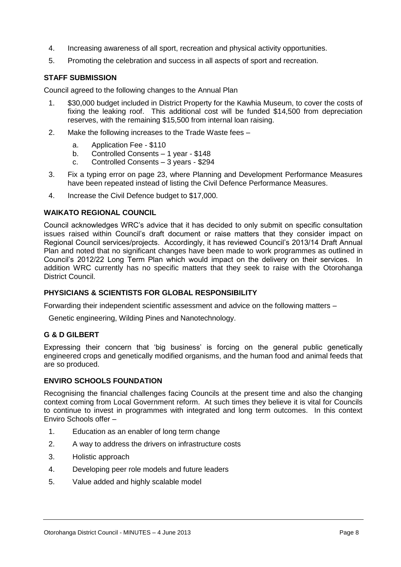- 4. Increasing awareness of all sport, recreation and physical activity opportunities.
- 5. Promoting the celebration and success in all aspects of sport and recreation.

# **STAFF SUBMISSION**

Council agreed to the following changes to the Annual Plan

- 1. \$30,000 budget included in District Property for the Kawhia Museum, to cover the costs of fixing the leaking roof. This additional cost will be funded \$14,500 from depreciation reserves, with the remaining \$15,500 from internal loan raising.
- 2. Make the following increases to the Trade Waste fees
	- a. Application Fee \$110<br>b. Controlled Consents -
	- b. Controlled Consents 1 year \$148
	- c. Controlled Consents 3 years \$294
- 3. Fix a typing error on page 23, where Planning and Development Performance Measures have been repeated instead of listing the Civil Defence Performance Measures.
- 4. Increase the Civil Defence budget to \$17,000.

# **WAIKATO REGIONAL COUNCIL**

Council acknowledges WRC's advice that it has decided to only submit on specific consultation issues raised within Council's draft document or raise matters that they consider impact on Regional Council services/projects. Accordingly, it has reviewed Council's 2013/14 Draft Annual Plan and noted that no significant changes have been made to work programmes as outlined in Council's 2012/22 Long Term Plan which would impact on the delivery on their services. In addition WRC currently has no specific matters that they seek to raise with the Otorohanga District Council.

# **PHYSICIANS & SCIENTISTS FOR GLOBAL RESPONSIBILITY**

Forwarding their independent scientific assessment and advice on the following matters –

Genetic engineering, Wilding Pines and Nanotechnology.

# **G & D GILBERT**

Expressing their concern that 'big business' is forcing on the general public genetically engineered crops and genetically modified organisms, and the human food and animal feeds that are so produced.

# **ENVIRO SCHOOLS FOUNDATION**

Recognising the financial challenges facing Councils at the present time and also the changing context coming from Local Government reform. At such times they believe it is vital for Councils to continue to invest in programmes with integrated and long term outcomes. In this context Enviro Schools offer –

- 1. Education as an enabler of long term change
- 2. A way to address the drivers on infrastructure costs
- 3. Holistic approach
- 4. Developing peer role models and future leaders
- 5. Value added and highly scalable model